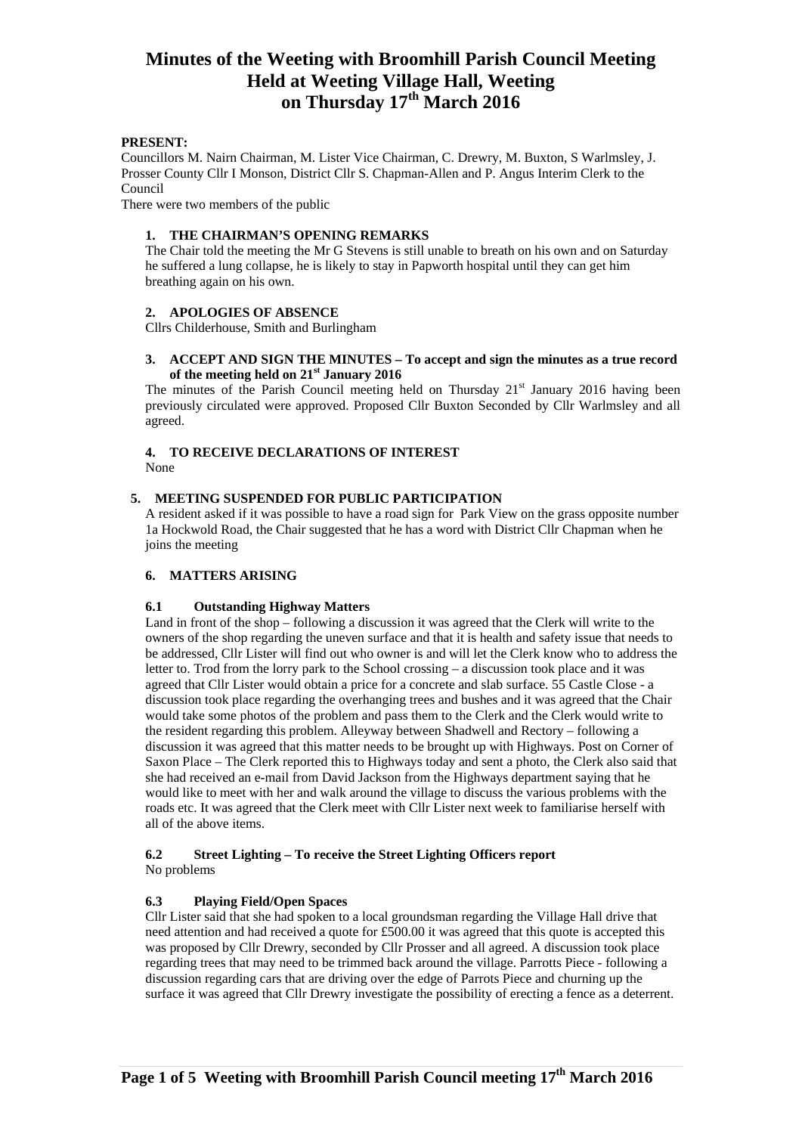## **PRESENT:**

Councillors M. Nairn Chairman, M. Lister Vice Chairman, C. Drewry, M. Buxton, S Warlmsley, J. Prosser County Cllr I Monson, District Cllr S. Chapman-Allen and P. Angus Interim Clerk to the Council

There were two members of the public

### **1. THE CHAIRMAN'S OPENING REMARKS**

The Chair told the meeting the Mr G Stevens is still unable to breath on his own and on Saturday he suffered a lung collapse, he is likely to stay in Papworth hospital until they can get him breathing again on his own.

### **2. APOLOGIES OF ABSENCE**

Cllrs Childerhouse, Smith and Burlingham

### **3. ACCEPT AND SIGN THE MINUTES – To accept and sign the minutes as a true record of the meeting held on 21st January 2016**

The minutes of the Parish Council meeting held on Thursday  $21<sup>st</sup>$  January 2016 having been previously circulated were approved. Proposed Cllr Buxton Seconded by Cllr Warlmsley and all agreed.

### **4. TO RECEIVE DECLARATIONS OF INTEREST**  None

## **5. MEETING SUSPENDED FOR PUBLIC PARTICIPATION**

A resident asked if it was possible to have a road sign for Park View on the grass opposite number 1a Hockwold Road, the Chair suggested that he has a word with District Cllr Chapman when he joins the meeting

### **6. MATTERS ARISING**

### **6.1 Outstanding Highway Matters**

Land in front of the shop – following a discussion it was agreed that the Clerk will write to the owners of the shop regarding the uneven surface and that it is health and safety issue that needs to be addressed, Cllr Lister will find out who owner is and will let the Clerk know who to address the letter to. Trod from the lorry park to the School crossing – a discussion took place and it was agreed that Cllr Lister would obtain a price for a concrete and slab surface. 55 Castle Close - a discussion took place regarding the overhanging trees and bushes and it was agreed that the Chair would take some photos of the problem and pass them to the Clerk and the Clerk would write to the resident regarding this problem. Alleyway between Shadwell and Rectory – following a discussion it was agreed that this matter needs to be brought up with Highways. Post on Corner of Saxon Place – The Clerk reported this to Highways today and sent a photo, the Clerk also said that she had received an e-mail from David Jackson from the Highways department saying that he would like to meet with her and walk around the village to discuss the various problems with the roads etc. It was agreed that the Clerk meet with Cllr Lister next week to familiarise herself with all of the above items.

#### **6.2 Street Lighting – To receive the Street Lighting Officers report** No problems

## **6.3 Playing Field/Open Spaces**

Cllr Lister said that she had spoken to a local groundsman regarding the Village Hall drive that need attention and had received a quote for £500.00 it was agreed that this quote is accepted this was proposed by Cllr Drewry, seconded by Cllr Prosser and all agreed. A discussion took place regarding trees that may need to be trimmed back around the village. Parrotts Piece - following a discussion regarding cars that are driving over the edge of Parrots Piece and churning up the surface it was agreed that Cllr Drewry investigate the possibility of erecting a fence as a deterrent.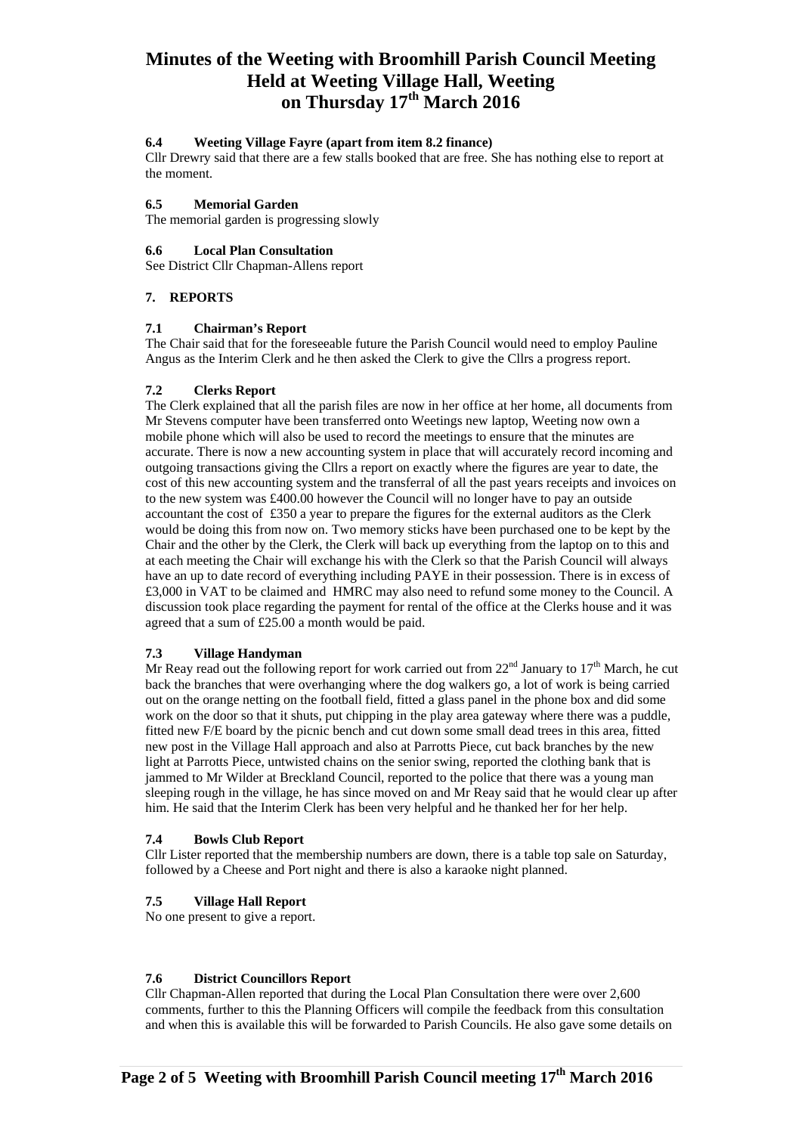## **6.4 Weeting Village Fayre (apart from item 8.2 finance)**

Cllr Drewry said that there are a few stalls booked that are free. She has nothing else to report at the moment.

#### **6.5 Memorial Garden**

The memorial garden is progressing slowly

#### **6.6 Local Plan Consultation**

See District Cllr Chapman-Allens report

### **7. REPORTS**

#### **7.1 Chairman's Report**

The Chair said that for the foreseeable future the Parish Council would need to employ Pauline Angus as the Interim Clerk and he then asked the Clerk to give the Cllrs a progress report.

### **7.2 Clerks Report**

The Clerk explained that all the parish files are now in her office at her home, all documents from Mr Stevens computer have been transferred onto Weetings new laptop, Weeting now own a mobile phone which will also be used to record the meetings to ensure that the minutes are accurate. There is now a new accounting system in place that will accurately record incoming and outgoing transactions giving the Cllrs a report on exactly where the figures are year to date, the cost of this new accounting system and the transferral of all the past years receipts and invoices on to the new system was £400.00 however the Council will no longer have to pay an outside accountant the cost of £350 a year to prepare the figures for the external auditors as the Clerk would be doing this from now on. Two memory sticks have been purchased one to be kept by the Chair and the other by the Clerk, the Clerk will back up everything from the laptop on to this and at each meeting the Chair will exchange his with the Clerk so that the Parish Council will always have an up to date record of everything including PAYE in their possession. There is in excess of £3,000 in VAT to be claimed and HMRC may also need to refund some money to the Council. A discussion took place regarding the payment for rental of the office at the Clerks house and it was agreed that a sum of £25.00 a month would be paid.

### **7.3 Village Handyman**

Mr Reay read out the following report for work carried out from  $22<sup>nd</sup>$  January to  $17<sup>th</sup>$  March, he cut back the branches that were overhanging where the dog walkers go, a lot of work is being carried out on the orange netting on the football field, fitted a glass panel in the phone box and did some work on the door so that it shuts, put chipping in the play area gateway where there was a puddle, fitted new F/E board by the picnic bench and cut down some small dead trees in this area, fitted new post in the Village Hall approach and also at Parrotts Piece, cut back branches by the new light at Parrotts Piece, untwisted chains on the senior swing, reported the clothing bank that is jammed to Mr Wilder at Breckland Council, reported to the police that there was a young man sleeping rough in the village, he has since moved on and Mr Reay said that he would clear up after him. He said that the Interim Clerk has been very helpful and he thanked her for her help.

### **7.4 Bowls Club Report**

Cllr Lister reported that the membership numbers are down, there is a table top sale on Saturday, followed by a Cheese and Port night and there is also a karaoke night planned.

### **7.5 Village Hall Report**

No one present to give a report.

### **7.6 District Councillors Report**

Cllr Chapman-Allen reported that during the Local Plan Consultation there were over 2,600 comments, further to this the Planning Officers will compile the feedback from this consultation and when this is available this will be forwarded to Parish Councils. He also gave some details on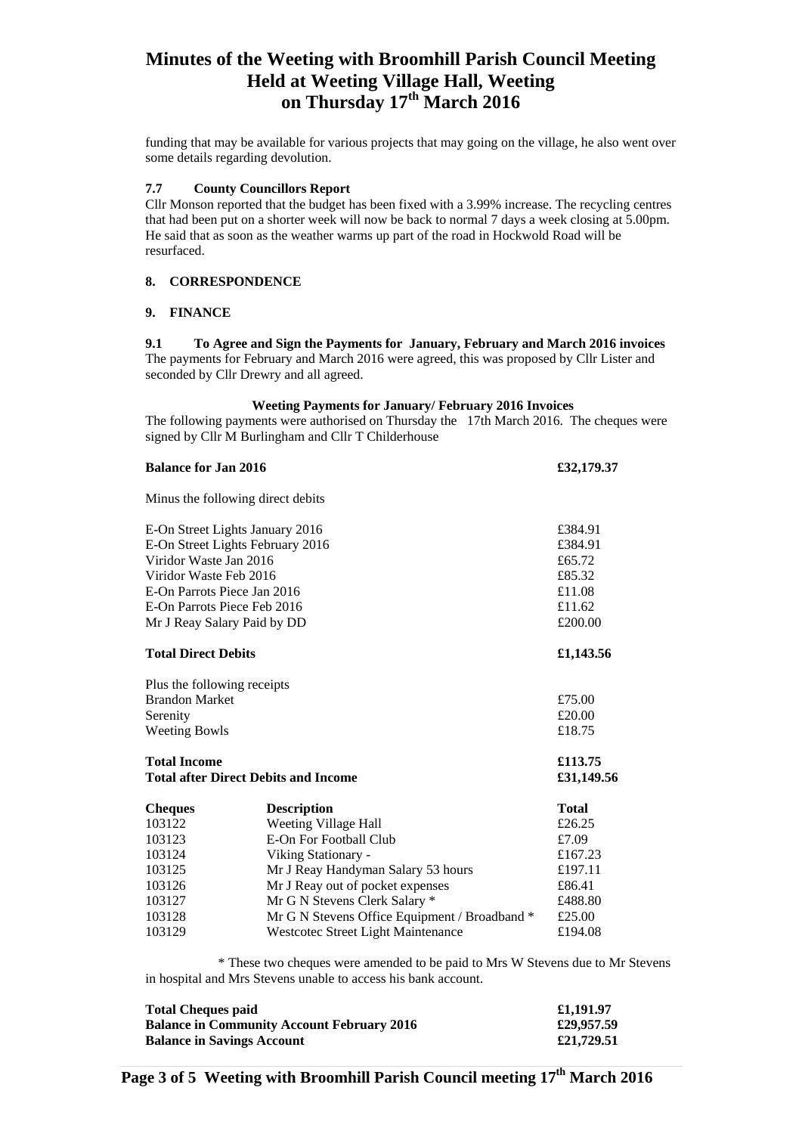funding that may be available for various projects that may going on the village, he also went over some details regarding devolution.

### **7.7 County Councillors Report**

Cllr Monson reported that the budget has been fixed with a 3.99% increase. The recycling centres that had been put on a shorter week will now be back to normal 7 days a week closing at 5.00pm. He said that as soon as the weather warms up part of the road in Hockwold Road will be resurfaced.

### **8. CORRESPONDENCE**

## **9. FINANCE**

**9.1 To Agree and Sign the Payments for January, February and March 2016 invoices**  The payments for February and March 2016 were agreed, this was proposed by Cllr Lister and seconded by Cllr Drewry and all agreed.

### **Weeting Payments for January/ February 2016 Invoices**

The following payments were authorised on Thursday the 17th March 2016. The cheques were signed by Cllr M Burlingham and Cllr T Childerhouse

| <b>Balance for Jan 2016</b>                 |                                               | £32,179.37   |
|---------------------------------------------|-----------------------------------------------|--------------|
|                                             | Minus the following direct debits             |              |
| E-On Street Lights January 2016             |                                               | £384.91      |
| E-On Street Lights February 2016            |                                               | £384.91      |
| Viridor Waste Jan 2016                      |                                               | £65.72       |
| Viridor Waste Feb 2016                      |                                               | £85.32       |
| E-On Parrots Piece Jan 2016                 |                                               | £11.08       |
| E-On Parrots Piece Feb 2016                 |                                               | £11.62       |
| Mr J Reay Salary Paid by DD                 |                                               | £200.00      |
| <b>Total Direct Debits</b>                  |                                               | £1,143.56    |
| Plus the following receipts                 |                                               |              |
| <b>Brandon Market</b>                       |                                               | £75.00       |
| Serenity                                    |                                               | £20.00       |
| <b>Weeting Bowls</b>                        |                                               | £18.75       |
| <b>Total Income</b>                         |                                               | £113.75      |
| <b>Total after Direct Debits and Income</b> |                                               | £31,149.56   |
| <b>Cheques</b>                              | <b>Description</b>                            | <b>Total</b> |
| 103122                                      | Weeting Village Hall                          | £26.25       |
| 103123                                      | E-On For Football Club                        | £7.09        |
| 103124                                      | Viking Stationary -                           | £167.23      |
| 103125                                      | Mr J Reay Handyman Salary 53 hours            | £197.11      |
| 103126                                      | Mr J Reay out of pocket expenses              | £86.41       |
| 103127                                      | Mr G N Stevens Clerk Salary *                 | £488.80      |
| 103128                                      | Mr G N Stevens Office Equipment / Broadband * | £25.00       |
| 103129                                      | <b>Westcotec Street Light Maintenance</b>     | £194.08      |

 \* These two cheques were amended to be paid to Mrs W Stevens due to Mr Stevens in hospital and Mrs Stevens unable to access his bank account.

| <b>Total Cheques paid</b>                         | £1,191.97  |
|---------------------------------------------------|------------|
| <b>Balance in Community Account February 2016</b> | £29,957.59 |
| <b>Balance in Savings Account</b>                 | £21,729.51 |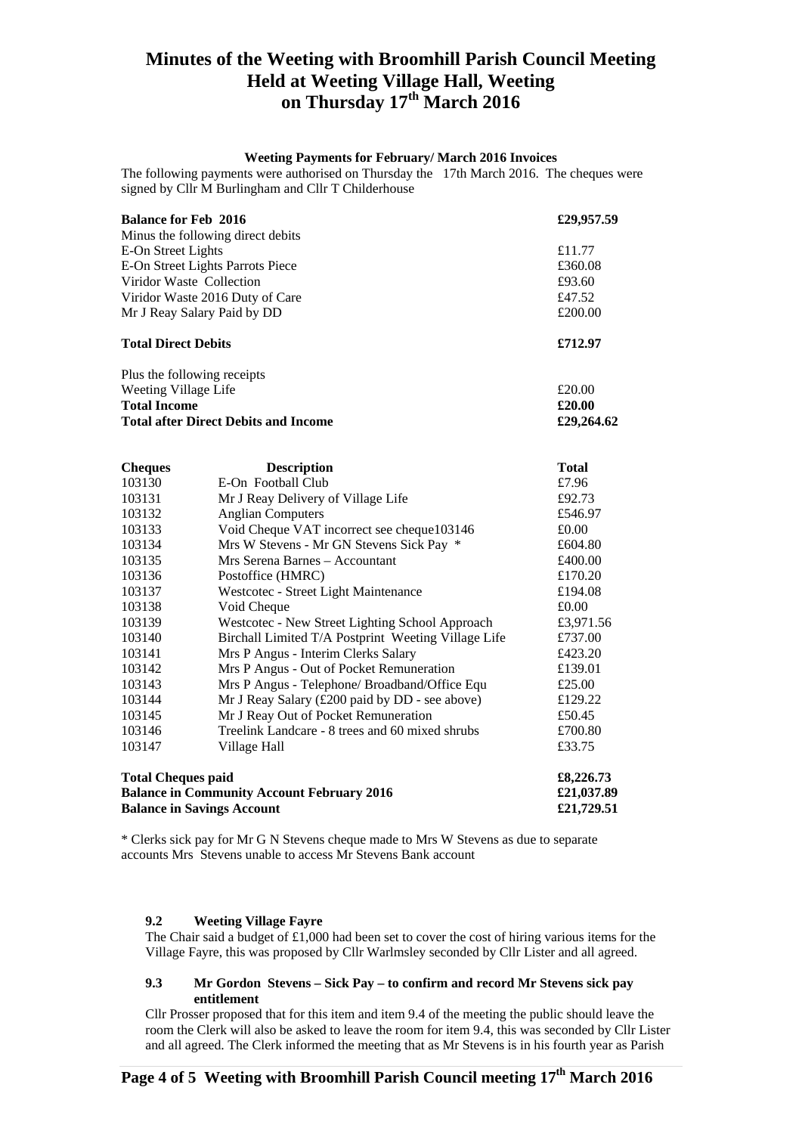#### **Weeting Payments for February/ March 2016 Invoices**

The following payments were authorised on Thursday the 17th March 2016. The cheques were signed by Cllr M Burlingham and Cllr T Childerhouse

| <b>Balance for Feb 2016</b>                                                                                         | £29,957.59                                          |              |
|---------------------------------------------------------------------------------------------------------------------|-----------------------------------------------------|--------------|
|                                                                                                                     | Minus the following direct debits                   |              |
| E-On Street Lights                                                                                                  | £11.77                                              |              |
| E-On Street Lights Parrots Piece                                                                                    | £360.08<br>£93.60<br>£47.52<br>£200.00<br>£712.97   |              |
| Viridor Waste Collection                                                                                            |                                                     |              |
| Viridor Waste 2016 Duty of Care                                                                                     |                                                     |              |
| Mr J Reay Salary Paid by DD                                                                                         |                                                     |              |
| <b>Total Direct Debits</b>                                                                                          |                                                     |              |
|                                                                                                                     | Plus the following receipts                         |              |
| Weeting Village Life                                                                                                | £20.00<br>£20.00                                    |              |
| <b>Total Income</b>                                                                                                 |                                                     |              |
|                                                                                                                     | <b>Total after Direct Debits and Income</b>         | £29,264.62   |
| <b>Cheques</b>                                                                                                      | <b>Description</b>                                  | <b>Total</b> |
| 103130                                                                                                              | E-On Football Club                                  | £7.96        |
| 103131                                                                                                              | Mr J Reay Delivery of Village Life                  | £92.73       |
| 103132                                                                                                              | <b>Anglian Computers</b>                            | £546.97      |
| 103133                                                                                                              | Void Cheque VAT incorrect see cheque103146          | £0.00        |
| 103134                                                                                                              | Mrs W Stevens - Mr GN Stevens Sick Pay *            | £604.80      |
| 103135                                                                                                              | Mrs Serena Barnes - Accountant                      | £400.00      |
| 103136                                                                                                              | Postoffice (HMRC)                                   | £170.20      |
| 103137                                                                                                              | Westcotec - Street Light Maintenance                | £194.08      |
| 103138                                                                                                              | Void Cheque                                         | £0.00        |
| 103139                                                                                                              | Westcotec - New Street Lighting School Approach     | £3,971.56    |
| 103140                                                                                                              | Birchall Limited T/A Postprint Weeting Village Life | £737.00      |
| 103141                                                                                                              | Mrs P Angus - Interim Clerks Salary                 | £423.20      |
| 103142                                                                                                              | Mrs P Angus - Out of Pocket Remuneration            | £139.01      |
| 103143                                                                                                              | Mrs P Angus - Telephone/ Broadband/Office Equ       | £25.00       |
| 103144                                                                                                              | Mr J Reay Salary (£200 paid by DD - see above)      | £129.22      |
| 103145                                                                                                              | Mr J Reay Out of Pocket Remuneration                | £50.45       |
| 103146                                                                                                              | Treelink Landcare - 8 trees and 60 mixed shrubs     | £700.80      |
| 103147                                                                                                              | Village Hall                                        | £33.75       |
| <b>Total Cheques paid</b><br><b>Balance in Community Account February 2016</b><br><b>Balance in Savings Account</b> | £8,226.73<br>£21,037.89<br>£21,729.51               |              |

\* Clerks sick pay for Mr G N Stevens cheque made to Mrs W Stevens as due to separate accounts Mrs Stevens unable to access Mr Stevens Bank account

### **9.2 Weeting Village Fayre**

The Chair said a budget of £1,000 had been set to cover the cost of hiring various items for the Village Fayre, this was proposed by Cllr Warlmsley seconded by Cllr Lister and all agreed.

### **9.3 Mr Gordon Stevens – Sick Pay – to confirm and record Mr Stevens sick pay entitlement**

Cllr Prosser proposed that for this item and item 9.4 of the meeting the public should leave the room the Clerk will also be asked to leave the room for item 9.4, this was seconded by Cllr Lister and all agreed. The Clerk informed the meeting that as Mr Stevens is in his fourth year as Parish